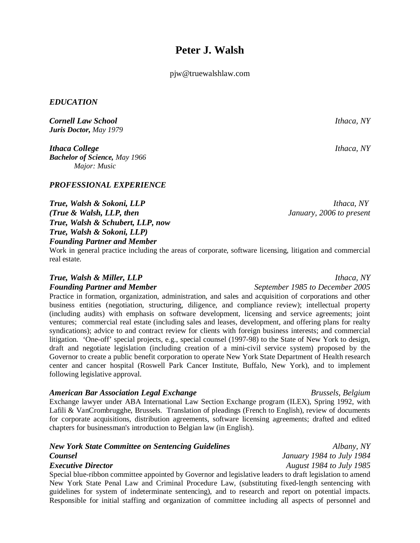pjw@truewalshlaw.com

### *EDUCATION*

*Cornell Law School Ithaca, NY Juris Doctor, May 1979*

*Ithaca College Ithaca, NY Bachelor of Science, May 1966 Major: Music*

### *PROFESSIONAL EXPERIENCE*

*True, Walsh & Sokoni, LLP Ithaca, NY (True & Walsh, LLP, then January, 2006 to present True, Walsh & Schubert, LLP, now True, Walsh & Sokoni, LLP) Founding Partner and Member*

Work in general practice including the areas of corporate, software licensing, litigation and commercial real estate.

Practice in formation, organization, administration, and sales and acquisition of corporations and other business entities (negotiation, structuring, diligence, and compliance review); intellectual property (including audits) with emphasis on software development, licensing and service agreements; joint ventures; commercial real estate (including sales and leases, development, and offering plans for realty syndications); advice to and contract review for clients with foreign business interests; and commercial litigation. 'One-off' special projects, e.g., special counsel (1997-98) to the State of New York to design, draft and negotiate legislation (including creation of a mini-civil service system) proposed by the Governor to create a public benefit corporation to operate New York State Department of Health research center and cancer hospital (Roswell Park Cancer Institute, Buffalo, New York), and to implement following legislative approval.

### *American Bar Association Legal Exchange Brussels, Belgium*

Exchange lawyer under ABA International Law Section Exchange program (ILEX), Spring 1992, with Lafili & VanCrombrugghe, Brussels. Translation of pleadings (French to English), review of documents for corporate acquisitions, distribution agreements, software licensing agreements; drafted and edited chapters for businessman's introduction to Belgian law (in English).

## *New York State Committee on Sentencing Guidelines Albany, NY Counsel January 1984 to July 1984*

Special blue-ribbon committee appointed by Governor and legislative leaders to draft legislation to amend New York State Penal Law and Criminal Procedure Law, (substituting fixed-length sentencing with guidelines for system of indeterminate sentencing), and to research and report on potential impacts. Responsible for initial staffing and organization of committee including all aspects of personnel and

*True, Walsh & Miller, LLP Ithaca, NY Founding Partner and Member September 1985 to December 2005*

*Executive Director August 1984 to July 1985*